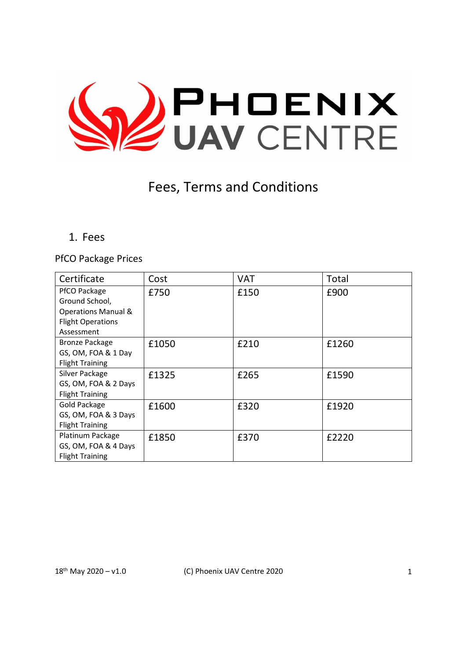

# Fees, Terms and Conditions

1. Fees

PfCO Package Prices

| Certificate                    | Cost  | <b>VAT</b> | Total |
|--------------------------------|-------|------------|-------|
| PfCO Package                   | £750  | £150       | £900  |
| Ground School,                 |       |            |       |
| <b>Operations Manual &amp;</b> |       |            |       |
| <b>Flight Operations</b>       |       |            |       |
| Assessment                     |       |            |       |
| <b>Bronze Package</b>          | £1050 | £210       | £1260 |
| GS, OM, FOA & 1 Day            |       |            |       |
| <b>Flight Training</b>         |       |            |       |
| Silver Package                 | £1325 | £265       | £1590 |
| GS, OM, FOA & 2 Days           |       |            |       |
| <b>Flight Training</b>         |       |            |       |
| Gold Package                   | £1600 | £320       | £1920 |
| GS, OM, FOA & 3 Days           |       |            |       |
| <b>Flight Training</b>         |       |            |       |
| Platinum Package               | £1850 | £370       | £2220 |
| GS, OM, FOA & 4 Days           |       |            |       |
| <b>Flight Training</b>         |       |            |       |

18<sup>th</sup> May 2020 – v1.0 (C) Phoenix UAV Centre 2020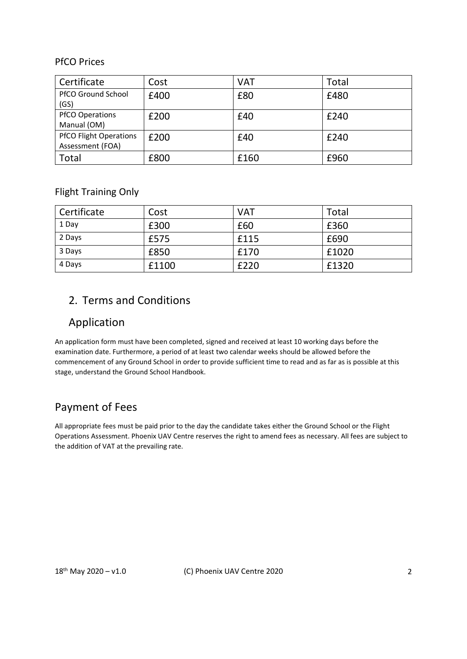#### PfCO Prices

| Certificate                                       | Cost | <b>VAT</b> | Total |
|---------------------------------------------------|------|------------|-------|
| <b>PfCO Ground School</b><br>(GS)                 | £400 | £80        | £480  |
| <b>PfCO Operations</b><br>Manual (OM)             | £200 | £40        | £240  |
| <b>PfCO Flight Operations</b><br>Assessment (FOA) | £200 | £40        | £240  |
| Total                                             | £800 | £160       | £960  |

Flight Training Only

| Certificate | Cost  | <b>VAT</b> | Total |
|-------------|-------|------------|-------|
| 1 Day       | £300  | £60        | £360  |
| 2 Days      | £575  | £115       | £690  |
| 3 Days      | £850  | £170       | £1020 |
| 4 Days      | £1100 | £220       | £1320 |

# 2. Terms and Conditions

#### Application

An application form must have been completed, signed and received at least 10 working days before the examination date. Furthermore, a period of at least two calendar weeks should be allowed before the commencement of any Ground School in order to provide sufficient time to read and as far as is possible at this stage, understand the Ground School Handbook.

# Payment of Fees

All appropriate fees must be paid prior to the day the candidate takes either the Ground School or the Flight Operations Assessment. Phoenix UAV Centre reserves the right to amend fees as necessary. All fees are subject to the addition of VAT at the prevailing rate.

18th May 2020 – v1.0 (C) Phoenix UAV Centre 2020 2